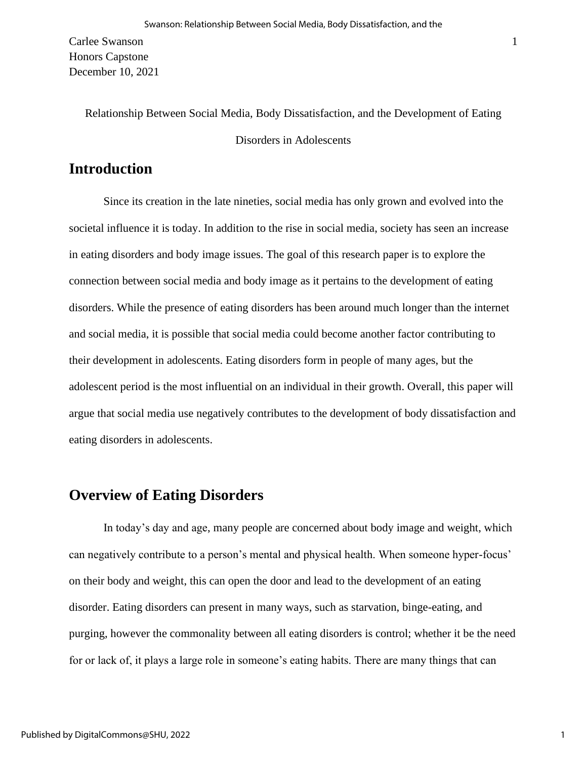Carlee Swanson Honors Capstone December 10, 2021

> Relationship Between Social Media, Body Dissatisfaction, and the Development of Eating Disorders in Adolescents

# **Introduction**

Since its creation in the late nineties, social media has only grown and evolved into the societal influence it is today. In addition to the rise in social media, society has seen an increase in eating disorders and body image issues. The goal of this research paper is to explore the connection between social media and body image as it pertains to the development of eating disorders. While the presence of eating disorders has been around much longer than the internet and social media, it is possible that social media could become another factor contributing to their development in adolescents. Eating disorders form in people of many ages, but the adolescent period is the most influential on an individual in their growth. Overall, this paper will argue that social media use negatively contributes to the development of body dissatisfaction and eating disorders in adolescents.

# **Overview of Eating Disorders**

In today's day and age, many people are concerned about body image and weight, which can negatively contribute to a person's mental and physical health. When someone hyper-focus' on their body and weight, this can open the door and lead to the development of an eating disorder. Eating disorders can present in many ways, such as starvation, binge-eating, and purging, however the commonality between all eating disorders is control; whether it be the need for or lack of, it plays a large role in someone's eating habits. There are many things that can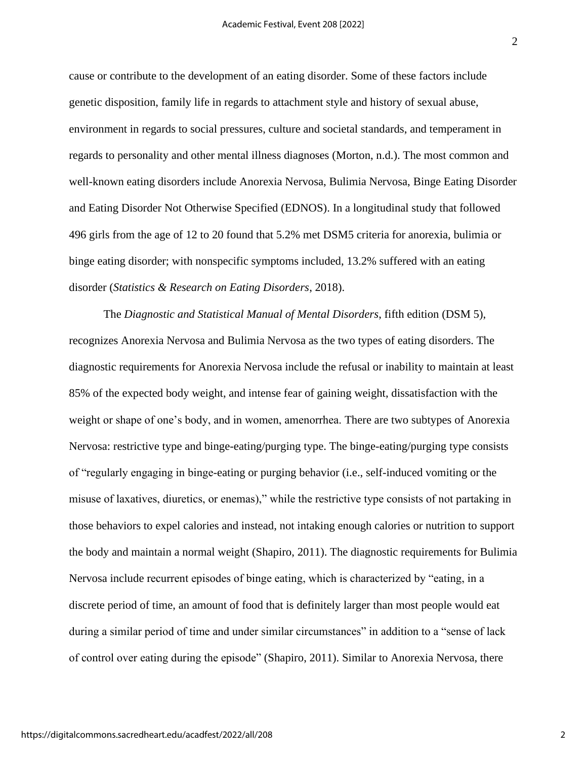cause or contribute to the development of an eating disorder. Some of these factors include genetic disposition, family life in regards to attachment style and history of sexual abuse, environment in regards to social pressures, culture and societal standards, and temperament in regards to personality and other mental illness diagnoses (Morton, n.d.). The most common and well-known eating disorders include Anorexia Nervosa, Bulimia Nervosa, Binge Eating Disorder and Eating Disorder Not Otherwise Specified (EDNOS). In a longitudinal study that followed 496 girls from the age of 12 to 20 found that 5.2% met DSM5 criteria for anorexia, bulimia or binge eating disorder; with nonspecific symptoms included, 13.2% suffered with an eating disorder (*Statistics & Research on Eating Disorders*, 2018).

The *Diagnostic and Statistical Manual of Mental Disorders*, fifth edition (DSM 5), recognizes Anorexia Nervosa and Bulimia Nervosa as the two types of eating disorders. The diagnostic requirements for Anorexia Nervosa include the refusal or inability to maintain at least 85% of the expected body weight, and intense fear of gaining weight, dissatisfaction with the weight or shape of one's body, and in women, amenorrhea. There are two subtypes of Anorexia Nervosa: restrictive type and binge-eating/purging type. The binge-eating/purging type consists of "regularly engaging in binge-eating or purging behavior (i.e., self-induced vomiting or the misuse of laxatives, diuretics, or enemas)," while the restrictive type consists of not partaking in those behaviors to expel calories and instead, not intaking enough calories or nutrition to support the body and maintain a normal weight (Shapiro, 2011). The diagnostic requirements for Bulimia Nervosa include recurrent episodes of binge eating, which is characterized by "eating, in a discrete period of time, an amount of food that is definitely larger than most people would eat during a similar period of time and under similar circumstances" in addition to a "sense of lack of control over eating during the episode" (Shapiro, 2011). Similar to Anorexia Nervosa, there

2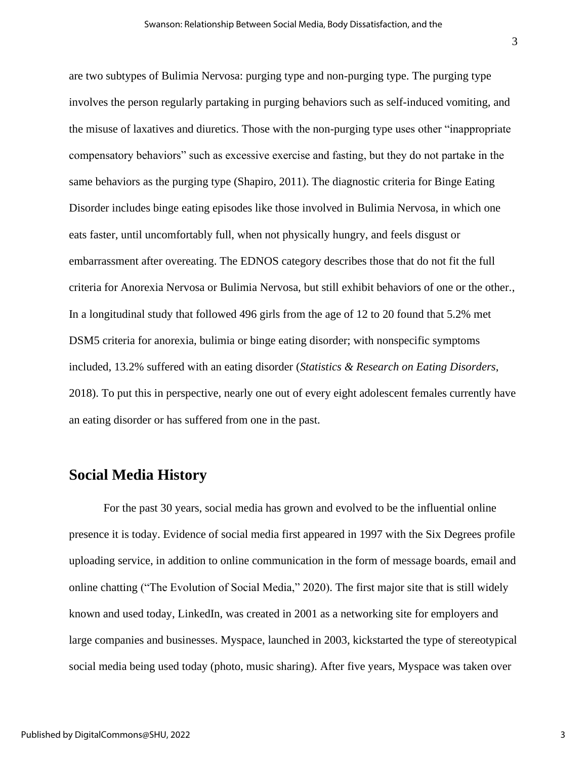are two subtypes of Bulimia Nervosa: purging type and non-purging type. The purging type involves the person regularly partaking in purging behaviors such as self-induced vomiting, and the misuse of laxatives and diuretics. Those with the non-purging type uses other "inappropriate compensatory behaviors" such as excessive exercise and fasting, but they do not partake in the same behaviors as the purging type (Shapiro, 2011). The diagnostic criteria for Binge Eating Disorder includes binge eating episodes like those involved in Bulimia Nervosa, in which one eats faster, until uncomfortably full, when not physically hungry, and feels disgust or embarrassment after overeating. The EDNOS category describes those that do not fit the full criteria for Anorexia Nervosa or Bulimia Nervosa, but still exhibit behaviors of one or the other., In a longitudinal study that followed 496 girls from the age of 12 to 20 found that 5.2% met DSM5 criteria for anorexia, bulimia or binge eating disorder; with nonspecific symptoms included, 13.2% suffered with an eating disorder (*Statistics & Research on Eating Disorders*, 2018). To put this in perspective, nearly one out of every eight adolescent females currently have an eating disorder or has suffered from one in the past.

# **Social Media History**

For the past 30 years, social media has grown and evolved to be the influential online presence it is today. Evidence of social media first appeared in 1997 with the Six Degrees profile uploading service, in addition to online communication in the form of message boards, email and online chatting ("The Evolution of Social Media," 2020). The first major site that is still widely known and used today, LinkedIn, was created in 2001 as a networking site for employers and large companies and businesses. Myspace, launched in 2003, kickstarted the type of stereotypical social media being used today (photo, music sharing). After five years, Myspace was taken over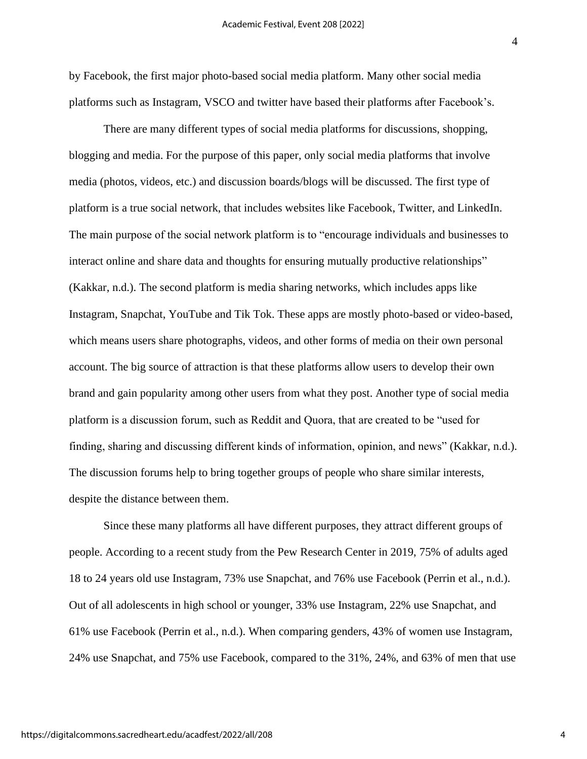by Facebook, the first major photo-based social media platform. Many other social media platforms such as Instagram, VSCO and twitter have based their platforms after Facebook's.

There are many different types of social media platforms for discussions, shopping, blogging and media. For the purpose of this paper, only social media platforms that involve media (photos, videos, etc.) and discussion boards/blogs will be discussed. The first type of platform is a true social network, that includes websites like Facebook, Twitter, and LinkedIn. The main purpose of the social network platform is to "encourage individuals and businesses to interact online and share data and thoughts for ensuring mutually productive relationships" (Kakkar, n.d.). The second platform is media sharing networks, which includes apps like Instagram, Snapchat, YouTube and Tik Tok. These apps are mostly photo-based or video-based, which means users share photographs, videos, and other forms of media on their own personal account. The big source of attraction is that these platforms allow users to develop their own brand and gain popularity among other users from what they post. Another type of social media platform is a discussion forum, such as Reddit and Quora, that are created to be "used for finding, sharing and discussing different kinds of information, opinion, and news" (Kakkar, n.d.). The discussion forums help to bring together groups of people who share similar interests, despite the distance between them.

Since these many platforms all have different purposes, they attract different groups of people. According to a recent study from the Pew Research Center in 2019, 75% of adults aged 18 to 24 years old use Instagram, 73% use Snapchat, and 76% use Facebook (Perrin et al., n.d.). Out of all adolescents in high school or younger, 33% use Instagram, 22% use Snapchat, and 61% use Facebook (Perrin et al., n.d.). When comparing genders, 43% of women use Instagram, 24% use Snapchat, and 75% use Facebook, compared to the 31%, 24%, and 63% of men that use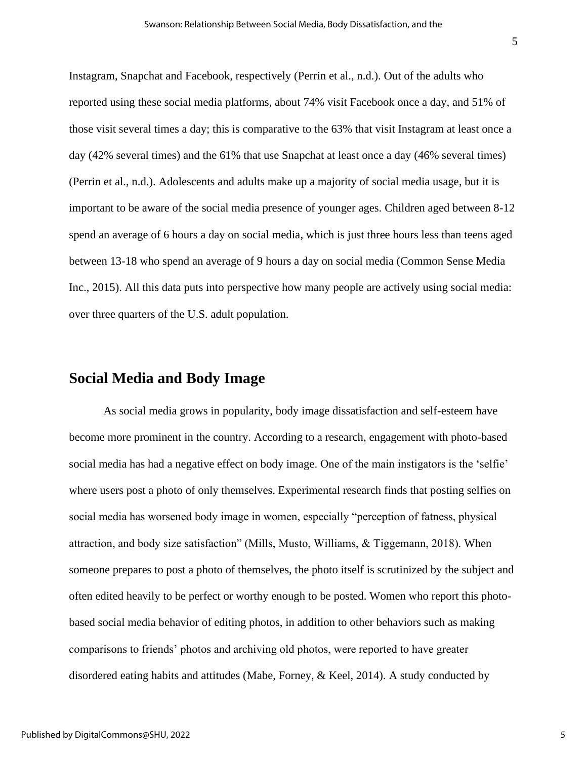Instagram, Snapchat and Facebook, respectively (Perrin et al., n.d.). Out of the adults who reported using these social media platforms, about 74% visit Facebook once a day, and 51% of those visit several times a day; this is comparative to the 63% that visit Instagram at least once a day (42% several times) and the 61% that use Snapchat at least once a day (46% several times) (Perrin et al., n.d.). Adolescents and adults make up a majority of social media usage, but it is important to be aware of the social media presence of younger ages. Children aged between 8-12 spend an average of 6 hours a day on social media, which is just three hours less than teens aged between 13-18 who spend an average of 9 hours a day on social media (Common Sense Media Inc., 2015). All this data puts into perspective how many people are actively using social media: over three quarters of the U.S. adult population.

### **Social Media and Body Image**

As social media grows in popularity, body image dissatisfaction and self-esteem have become more prominent in the country. According to a research, engagement with photo-based social media has had a negative effect on body image. One of the main instigators is the 'selfie' where users post a photo of only themselves. Experimental research finds that posting selfies on social media has worsened body image in women, especially "perception of fatness, physical attraction, and body size satisfaction" (Mills, Musto, Williams, & Tiggemann, 2018). When someone prepares to post a photo of themselves, the photo itself is scrutinized by the subject and often edited heavily to be perfect or worthy enough to be posted. Women who report this photobased social media behavior of editing photos, in addition to other behaviors such as making comparisons to friends' photos and archiving old photos, were reported to have greater disordered eating habits and attitudes (Mabe, Forney, & Keel, 2014). A study conducted by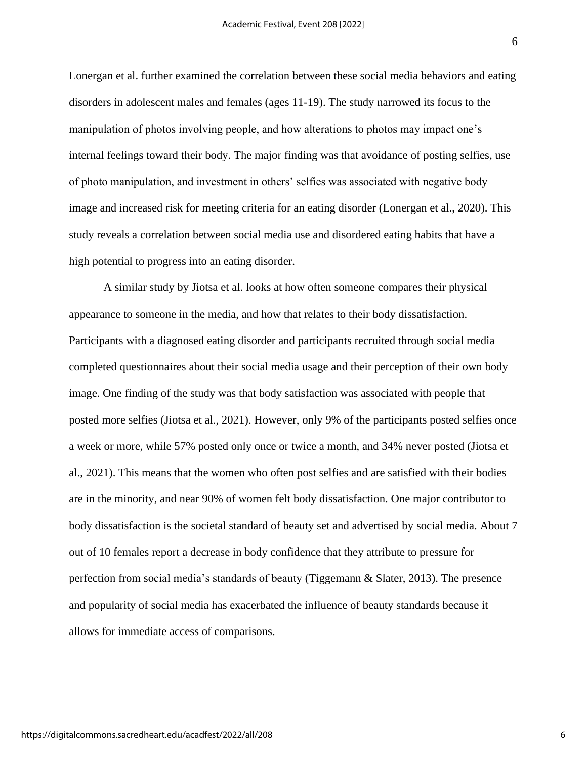Lonergan et al. further examined the correlation between these social media behaviors and eating disorders in adolescent males and females (ages 11-19). The study narrowed its focus to the manipulation of photos involving people, and how alterations to photos may impact one's internal feelings toward their body. The major finding was that avoidance of posting selfies, use of photo manipulation, and investment in others' selfies was associated with negative body image and increased risk for meeting criteria for an eating disorder (Lonergan et al., 2020). This study reveals a correlation between social media use and disordered eating habits that have a high potential to progress into an eating disorder.

A similar study by Jiotsa et al. looks at how often someone compares their physical appearance to someone in the media, and how that relates to their body dissatisfaction. Participants with a diagnosed eating disorder and participants recruited through social media completed questionnaires about their social media usage and their perception of their own body image. One finding of the study was that body satisfaction was associated with people that posted more selfies (Jiotsa et al., 2021). However, only 9% of the participants posted selfies once a week or more, while 57% posted only once or twice a month, and 34% never posted (Jiotsa et al., 2021). This means that the women who often post selfies and are satisfied with their bodies are in the minority, and near 90% of women felt body dissatisfaction. One major contributor to body dissatisfaction is the societal standard of beauty set and advertised by social media. About 7 out of 10 females report a decrease in body confidence that they attribute to pressure for perfection from social media's standards of beauty (Tiggemann & Slater, 2013). The presence and popularity of social media has exacerbated the influence of beauty standards because it allows for immediate access of comparisons.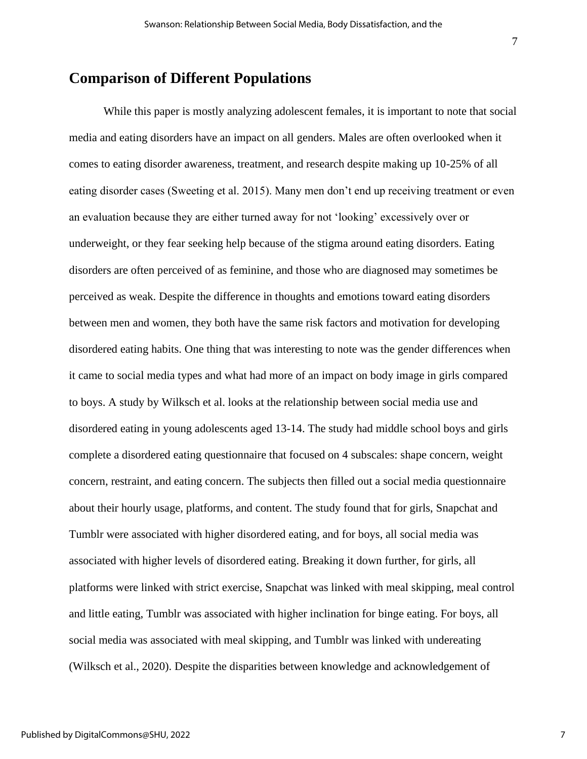# **Comparison of Different Populations**

While this paper is mostly analyzing adolescent females, it is important to note that social media and eating disorders have an impact on all genders. Males are often overlooked when it comes to eating disorder awareness, treatment, and research despite making up 10-25% of all eating disorder cases (Sweeting et al. 2015). Many men don't end up receiving treatment or even an evaluation because they are either turned away for not 'looking' excessively over or underweight, or they fear seeking help because of the stigma around eating disorders. Eating disorders are often perceived of as feminine, and those who are diagnosed may sometimes be perceived as weak. Despite the difference in thoughts and emotions toward eating disorders between men and women, they both have the same risk factors and motivation for developing disordered eating habits. One thing that was interesting to note was the gender differences when it came to social media types and what had more of an impact on body image in girls compared to boys. A study by Wilksch et al. looks at the relationship between social media use and disordered eating in young adolescents aged 13-14. The study had middle school boys and girls complete a disordered eating questionnaire that focused on 4 subscales: shape concern, weight concern, restraint, and eating concern. The subjects then filled out a social media questionnaire about their hourly usage, platforms, and content. The study found that for girls, Snapchat and Tumblr were associated with higher disordered eating, and for boys, all social media was associated with higher levels of disordered eating. Breaking it down further, for girls, all platforms were linked with strict exercise, Snapchat was linked with meal skipping, meal control and little eating, Tumblr was associated with higher inclination for binge eating. For boys, all social media was associated with meal skipping, and Tumblr was linked with undereating (Wilksch et al., 2020). Despite the disparities between knowledge and acknowledgement of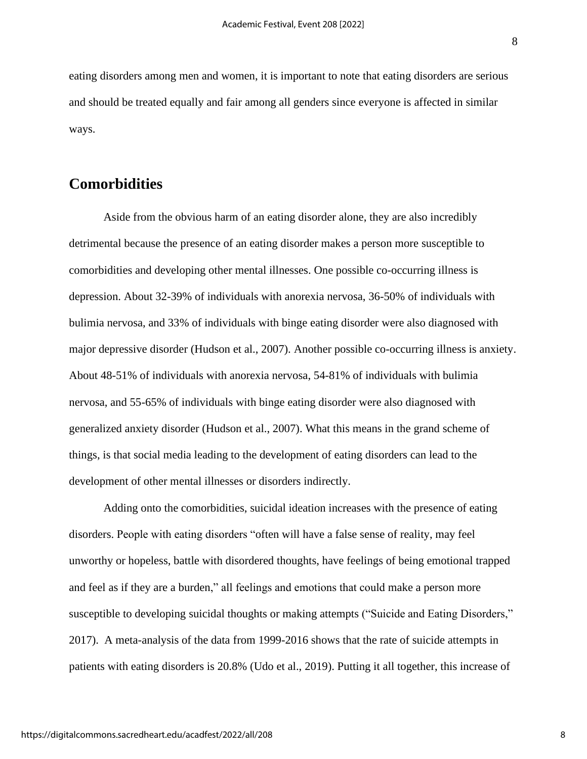eating disorders among men and women, it is important to note that eating disorders are serious and should be treated equally and fair among all genders since everyone is affected in similar ways.

# **Comorbidities**

Aside from the obvious harm of an eating disorder alone, they are also incredibly detrimental because the presence of an eating disorder makes a person more susceptible to comorbidities and developing other mental illnesses. One possible co-occurring illness is depression. About 32-39% of individuals with anorexia nervosa, 36-50% of individuals with bulimia nervosa, and 33% of individuals with binge eating disorder were also diagnosed with major depressive disorder (Hudson et al., 2007). Another possible co-occurring illness is anxiety. About 48-51% of individuals with anorexia nervosa, 54-81% of individuals with bulimia nervosa, and 55-65% of individuals with binge eating disorder were also diagnosed with generalized anxiety disorder (Hudson et al., 2007). What this means in the grand scheme of things, is that social media leading to the development of eating disorders can lead to the development of other mental illnesses or disorders indirectly.

Adding onto the comorbidities, suicidal ideation increases with the presence of eating disorders. People with eating disorders "often will have a false sense of reality, may feel unworthy or hopeless, battle with disordered thoughts, have feelings of being emotional trapped and feel as if they are a burden," all feelings and emotions that could make a person more susceptible to developing suicidal thoughts or making attempts ("Suicide and Eating Disorders," 2017). A meta-analysis of the data from 1999-2016 shows that the rate of suicide attempts in patients with eating disorders is 20.8% (Udo et al., 2019). Putting it all together, this increase of

https://digitalcommons.sacredheart.edu/acadfest/2022/all/208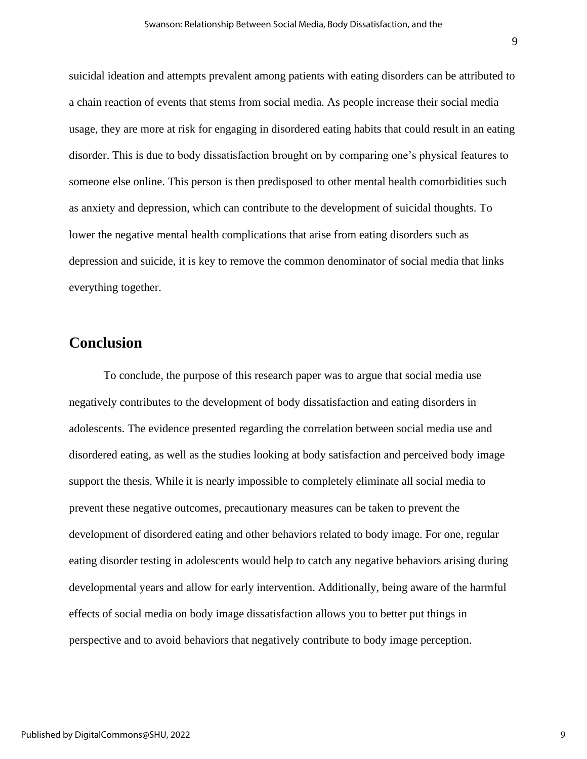suicidal ideation and attempts prevalent among patients with eating disorders can be attributed to a chain reaction of events that stems from social media. As people increase their social media usage, they are more at risk for engaging in disordered eating habits that could result in an eating disorder. This is due to body dissatisfaction brought on by comparing one's physical features to someone else online. This person is then predisposed to other mental health comorbidities such as anxiety and depression, which can contribute to the development of suicidal thoughts. To lower the negative mental health complications that arise from eating disorders such as depression and suicide, it is key to remove the common denominator of social media that links everything together.

# **Conclusion**

To conclude, the purpose of this research paper was to argue that social media use negatively contributes to the development of body dissatisfaction and eating disorders in adolescents. The evidence presented regarding the correlation between social media use and disordered eating, as well as the studies looking at body satisfaction and perceived body image support the thesis. While it is nearly impossible to completely eliminate all social media to prevent these negative outcomes, precautionary measures can be taken to prevent the development of disordered eating and other behaviors related to body image. For one, regular eating disorder testing in adolescents would help to catch any negative behaviors arising during developmental years and allow for early intervention. Additionally, being aware of the harmful effects of social media on body image dissatisfaction allows you to better put things in perspective and to avoid behaviors that negatively contribute to body image perception.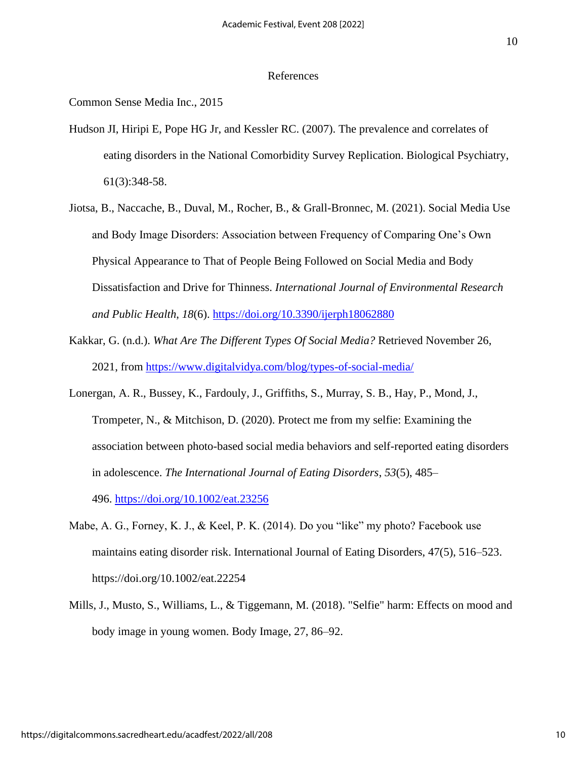#### References

Common Sense Media Inc., 2015

- Hudson JI, Hiripi E, Pope HG Jr, and Kessler RC. (2007). The prevalence and correlates of eating disorders in the National Comorbidity Survey Replication. Biological Psychiatry, 61(3):348-58.
- Jiotsa, B., Naccache, B., Duval, M., Rocher, B., & Grall-Bronnec, M. (2021). Social Media Use and Body Image Disorders: Association between Frequency of Comparing One's Own Physical Appearance to That of People Being Followed on Social Media and Body Dissatisfaction and Drive for Thinness. *International Journal of Environmental Research and Public Health*, *18*(6). <https://doi.org/10.3390/ijerph18062880>
- Kakkar, G. (n.d.). *What Are The Different Types Of Social Media?* Retrieved November 26, 2021, from <https://www.digitalvidya.com/blog/types-of-social-media/>
- Lonergan, A. R., Bussey, K., Fardouly, J., Griffiths, S., Murray, S. B., Hay, P., Mond, J., Trompeter, N., & Mitchison, D. (2020). Protect me from my selfie: Examining the association between photo-based social media behaviors and self-reported eating disorders in adolescence. *The International Journal of Eating Disorders*, *53*(5), 485– 496. <https://doi.org/10.1002/eat.23256>
- Mabe, A. G., Forney, K. J., & Keel, P. K. (2014). Do you "like" my photo? Facebook use maintains eating disorder risk. International Journal of Eating Disorders, 47(5), 516–523. https://doi.org/10.1002/eat.22254
- Mills, J., Musto, S., Williams, L., & Tiggemann, M. (2018). "Selfie" harm: Effects on mood and body image in young women. Body Image, 27, 86–92.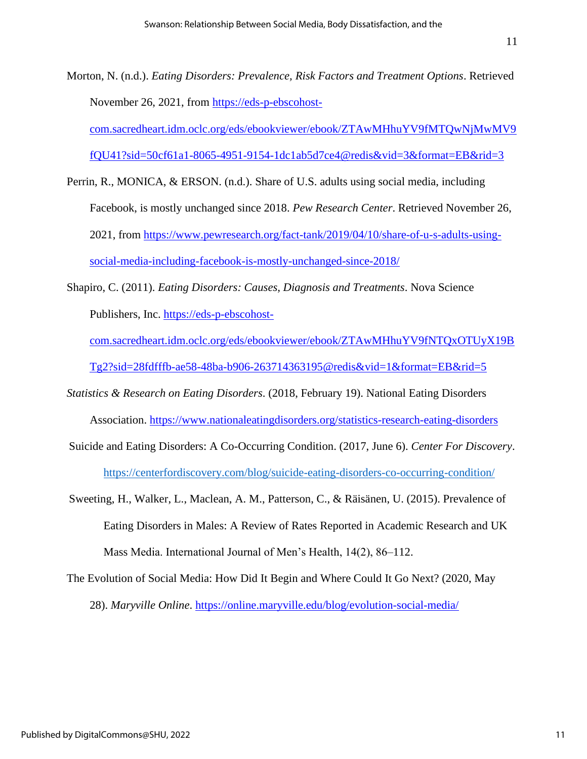- Morton, N. (n.d.). *Eating Disorders: Prevalence, Risk Factors and Treatment Options*. Retrieved November 26, 2021, from [https://eds-p-ebscohost](https://eds-p-ebscohost-com.sacredheart.idm.oclc.org/eds/ebookviewer/ebook/ZTAwMHhuYV9fMTQwNjMwMV9fQU41?sid=50cf61a1-8065-4951-9154-1dc1ab5d7ce4@redis&vid=3&format=EB&rid=3)[com.sacredheart.idm.oclc.org/eds/ebookviewer/ebook/ZTAwMHhuYV9fMTQwNjMwMV9](https://eds-p-ebscohost-com.sacredheart.idm.oclc.org/eds/ebookviewer/ebook/ZTAwMHhuYV9fMTQwNjMwMV9fQU41?sid=50cf61a1-8065-4951-9154-1dc1ab5d7ce4@redis&vid=3&format=EB&rid=3) [fQU41?sid=50cf61a1-8065-4951-9154-1dc1ab5d7ce4@redis&vid=3&format=EB&rid=3](https://eds-p-ebscohost-com.sacredheart.idm.oclc.org/eds/ebookviewer/ebook/ZTAwMHhuYV9fMTQwNjMwMV9fQU41?sid=50cf61a1-8065-4951-9154-1dc1ab5d7ce4@redis&vid=3&format=EB&rid=3)
- Perrin, R., MONICA, & ERSON. (n.d.). Share of U.S. adults using social media, including Facebook, is mostly unchanged since 2018. *Pew Research Center*. Retrieved November 26, 2021, from [https://www.pewresearch.org/fact-tank/2019/04/10/share-of-u-s-adults-using](https://www.pewresearch.org/fact-tank/2019/04/10/share-of-u-s-adults-using-social-media-including-facebook-is-mostly-unchanged-since-2018/)[social-media-including-facebook-is-mostly-unchanged-since-2018/](https://www.pewresearch.org/fact-tank/2019/04/10/share-of-u-s-adults-using-social-media-including-facebook-is-mostly-unchanged-since-2018/)
- Shapiro, C. (2011). *Eating Disorders: Causes, Diagnosis and Treatments*. Nova Science Publishers, Inc. [https://eds-p-ebscohost](https://eds-p-ebscohost-com.sacredheart.idm.oclc.org/eds/ebookviewer/ebook/ZTAwMHhuYV9fNTQxOTUyX19BTg2?sid=28fdfffb-ae58-48ba-b906-263714363195@redis&vid=1&format=EB&rid=5)
	- [com.sacredheart.idm.oclc.org/eds/ebookviewer/ebook/ZTAwMHhuYV9fNTQxOTUyX19B](https://eds-p-ebscohost-com.sacredheart.idm.oclc.org/eds/ebookviewer/ebook/ZTAwMHhuYV9fNTQxOTUyX19BTg2?sid=28fdfffb-ae58-48ba-b906-263714363195@redis&vid=1&format=EB&rid=5) [Tg2?sid=28fdfffb-ae58-48ba-b906-263714363195@redis&vid=1&format=EB&rid=5](https://eds-p-ebscohost-com.sacredheart.idm.oclc.org/eds/ebookviewer/ebook/ZTAwMHhuYV9fNTQxOTUyX19BTg2?sid=28fdfffb-ae58-48ba-b906-263714363195@redis&vid=1&format=EB&rid=5)
- *Statistics & Research on Eating Disorders*. (2018, February 19). National Eating Disorders Association. <https://www.nationaleatingdisorders.org/statistics-research-eating-disorders>
- Suicide and Eating Disorders: A Co-Occurring Condition. (2017, June 6). *Center For Discovery*. <https://centerfordiscovery.com/blog/suicide-eating-disorders-co-occurring-condition/>
- Sweeting, H., Walker, L., Maclean, A. M., Patterson, C., & Räisänen, U. (2015). Prevalence of Eating Disorders in Males: A Review of Rates Reported in Academic Research and UK Mass Media. International Journal of Men's Health, 14(2), 86–112.
- The Evolution of Social Media: How Did It Begin and Where Could It Go Next? (2020, May 28). *Maryville Online*. <https://online.maryville.edu/blog/evolution-social-media/>